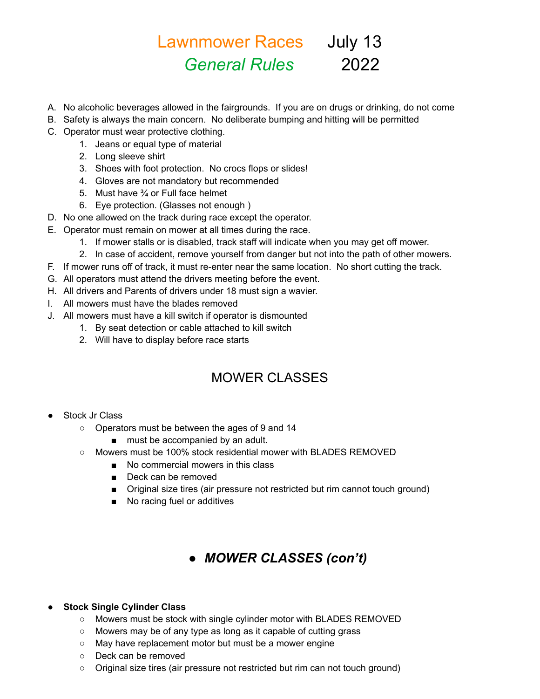# Lawnmower Races July 13 *General Rules* 2022

- A. No alcoholic beverages allowed in the fairgrounds. If you are on drugs or drinking, do not come
- B. Safety is always the main concern. No deliberate bumping and hitting will be permitted
- C. Operator must wear protective clothing.
	- 1. Jeans or equal type of material
	- 2. Long sleeve shirt
	- 3. Shoes with foot protection. No crocs flops or slides!
	- 4. Gloves are not mandatory but recommended
	- 5. Must have ¾ or Full face helmet
	- 6. Eye protection. (Glasses not enough )
- D. No one allowed on the track during race except the operator.
- E. Operator must remain on mower at all times during the race.
	- 1. If mower stalls or is disabled, track staff will indicate when you may get off mower.
	- 2. In case of accident, remove yourself from danger but not into the path of other mowers.
- F. If mower runs off of track, it must re-enter near the same location. No short cutting the track.
- G. All operators must attend the drivers meeting before the event.
- H. All drivers and Parents of drivers under 18 must sign a wavier.
- I. All mowers must have the blades removed
- J. All mowers must have a kill switch if operator is dismounted
	- 1. By seat detection or cable attached to kill switch
	- 2. Will have to display before race starts

## MOWER CLASSES

- **Stock Jr Class** 
	- Operators must be between the ages of 9 and 14
		- must be accompanied by an adult.
	- Mowers must be 100% stock residential mower with BLADES REMOVED
		- No commercial mowers in this class
		- Deck can be removed
		- Original size tires (air pressure not restricted but rim cannot touch ground)
		- No racing fuel or additives

## ● *MOWER CLASSES (con't)*

#### **Stock Single Cylinder Class**

- Mowers must be stock with single cylinder motor with BLADES REMOVED
- Mowers may be of any type as long as it capable of cutting grass
- May have replacement motor but must be a mower engine
- Deck can be removed
- Original size tires (air pressure not restricted but rim can not touch ground)